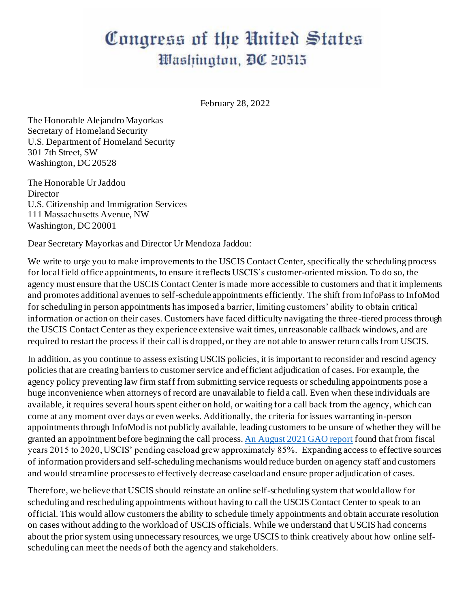## Congress of the United States Washington, DC 20515

February 28, 2022

The Honorable Alejandro Mayorkas Secretary of Homeland Security U.S. Department of Homeland Security 301 7th Street, SW Washington, DC 20528

The Honorable Ur Jaddou Director U.S. Citizenship and Immigration Services 111 Massachusetts Avenue, NW Washington, DC 20001

Dear Secretary Mayorkas and Director Ur Mendoza Jaddou:

We write to urge you to make improvements to the USCIS Contact Center, specifically the scheduling process for local field office appointments, to ensure it reflects USCIS's customer-oriented mission. To do so, the agency must ensure that the USCIS Contact Center is made more accessible to customers and that it implements and promotes additional avenues to self-schedule appointments efficiently. The shift from InfoPass to InfoMod for scheduling in person appointments has imposed a barrier, limiting customers' ability to obtain critical information or action on their cases. Customers have faced difficulty navigating the three-tiered process through the USCIS Contact Center as they experience extensive wait times, unreasonable callback windows, and are required to restart the process if their call is dropped, or they are not able to answer return calls from USCIS.

In addition, as you continue to assess existing USCIS policies, it is important to reconsider and rescind agency policies that are creating barriers to customer service and efficient adjudication of cases. For example, the agency policy preventing law firm staff from submitting service requests or scheduling appointments pose a huge inconvenience when attorneys of record are unavailable to field a call. Even when these individuals are available, it requires several hours spent either on hold, or waiting for a call back from the agency, which can come at any moment over days or even weeks. Additionally, the criteria for issues warranting in-person appointments through InfoMod is not publicly available, leading customers to be unsure of whether they will be granted an appointment before beginning the call process[. An August 2021 GAO report](https://www.gao.gov/assets/gao-21-529.pdf) found that from fiscal years 2015 to 2020, USCIS' pending caseload grew approximately 85%. Expanding access to effective sources of information providers and self-scheduling mechanisms would reduce burden on agency staff and customers and would streamline processes to effectively decrease caseload and ensure proper adjudication of cases.

Therefore, we believe that USCIS should reinstate an online self-scheduling system that would allow for scheduling and rescheduling appointments without having to call the USCIS Contact Center to speak to an official. This would allow customers the ability to schedule timely appointments and obtain accurate resolution on cases without adding to the workload of USCIS officials. While we understand that USCIS had concerns about the prior system using unnecessary resources, we urge USCIS to think creatively about how online selfscheduling can meet the needs of both the agency and stakeholders.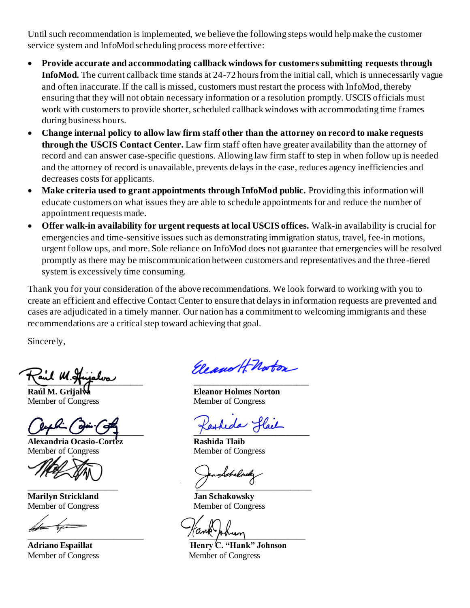Until such recommendation is implemented, we believe the following steps would help make the customer service system and InfoMod scheduling process more effective:

- **Provide accurate and accommodating callback windows for customers submitting requests through InfoMod.** The current callback time stands at 24-72 hours from the initial call, which is unnecessarily vague and often inaccurate. If the call is missed, customers must restart the process with InfoMod, thereby ensuring that they will not obtain necessary information or a resolution promptly. USCIS officials must work with customers to provide shorter, scheduled callback windows with accommodating time frames during business hours.
- **Change internal policy to allow law firm staff other than the attorney on record to make requests through the USCIS Contact Center.** Law firm staff often have greater availability than the attorney of record and can answer case-specific questions. Allowing law firm staff to step in when follow up is needed and the attorney of record is unavailable, prevents delays in the case, reduces agency inefficiencies and decreases costs for applicants.
- **Make criteria used to grant appointments through InfoMod public.** Providing this information will educate customers on what issues they are able to schedule appointments for and reduce the number of appointment requests made.
- **Offer walk-in availability for urgent requests at local USCIS offices.** Walk-in availability is crucial for emergencies and time-sensitive issues such as demonstrating immigration status, travel, fee-in motions, urgent follow ups, and more. Sole reliance on InfoMod does not guarantee that emergencies will be resolved promptly as there may be miscommunication between customers and representatives and the three-tiered system is excessively time consuming.

Thank you for your consideration of the above recommendations. We look forward to working with you to create an efficient and effective Contact Center to ensure that delays in information requests are prevented and cases are adjudicated in a timely manner. Our nation has a commitment to welcoming immigrants and these recommendations are a critical step toward achieving that goal.

Sincerely,

 $\frac{1}{2}$ 

Member of Congress Member of Congress

 $Q^2 - Q^2$ 

**Alexandria Ocasio-Cortez Rashida Tlaib** Member of Congress Member of Congress

**Marilyn Strickland Jan Schakowsky**

Eleano H Noton

**Raúl M. Grijalva Eleanor Holmes Norton**

rbulo  $\overline{\smile}$  , and the contract of  $\overline{\smile}$  , and  $\overline{\smile}$  , and  $\overline{\smile}$  , and  $\overline{\smile}$ 

Member of Congress Member of Congress

 $\frac{1}{2}$ 

**Adriano Espaillat Henry C. "Hank" Johnson** Member of Congress Member of Congress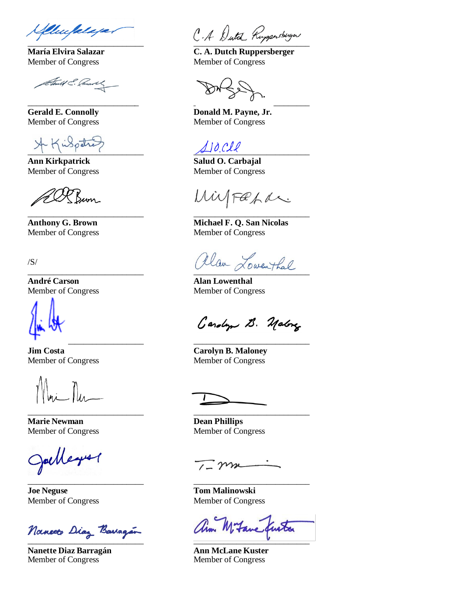Murfalaja.

Member of Congress Member of Congress

Sent & Connors

 $\overline{\mathcal{A}}$  ,  $\overline{\mathcal{A}}$  ,  $\overline{\mathcal{A}}$  ,  $\overline{\mathcal{A}}$ 

**Ann Kirkpatrick Salud O. Carbajal Salud O. Carbajal** 

200 Burn

/S/

**André Carson Alan Lowenthal** Member of Congress Member of Congress

I \_\_\_\_\_\_\_\_\_\_\_\_\_\_\_\_\_\_\_\_\_\_\_\_\_\_\_ \_\_\_\_\_\_\_\_\_\_\_\_\_\_\_\_\_\_\_\_\_\_\_\_\_\_\_

\_\_\_\_\_\_\_\_\_\_\_\_\_\_\_\_\_\_\_\_\_\_\_\_\_\_\_ \_\_\_\_\_\_\_\_\_\_\_\_\_\_\_\_\_\_\_\_\_\_\_\_\_\_\_

**Marie Newman Dean Phillips**  Member of Congress Member of Congress

\_\_\_\_\_\_\_\_\_\_\_\_\_\_\_\_\_\_\_\_\_\_\_\_\_\_\_ \_\_\_\_\_\_\_\_\_\_\_\_\_\_\_\_\_\_\_\_\_\_\_\_\_\_\_

**Joe Neguse Tom Malinowski** 

Nanceto Diaz Barragén

**Nanette Diaz Barragán Ann McLane Kuster** Member of Congress Member of Congress

C.A. Dutch Ruppersbugn

**María Elvira Salazar C. A. Dutch Ruppersberger** 

\_\_\_\_\_\_\_\_\_\_\_\_\_\_\_\_\_\_\_\_\_\_\_\_\_\_ \_\_\_\_\_\_\_\_\_\_\_\_\_\_\_\_\_\_\_\_\_\_\_\_\_\_\_

Gerald E. Connolly **Donald M. Payne, Jr.** Member of Congress Member of Congress

\_\_\_\_\_\_\_\_\_\_\_\_\_\_\_\_\_\_\_\_\_\_\_\_\_\_\_ \_\_\_\_\_\_\_\_\_\_\_\_\_\_\_\_\_\_\_\_\_\_\_\_\_\_\_

Member of Congress Member of Congress

Wilfaha

**Anthony G. Brown Michael F. Q. San Nicolas**  Member of Congress Member of Congress

allan Lowenthal

Gardyn B. Malong

**Jim Costa Carolyn B. Maloney** Member of Congress Member of Congress

mm

Member of Congress Member of Congress

ann Mitane furta \_\_\_\_\_\_\_\_\_\_\_\_\_\_\_\_\_\_\_\_\_\_\_\_\_\_\_ \_\_\_\_\_\_\_\_\_\_\_\_\_\_\_\_\_\_\_\_\_\_\_\_\_\_\_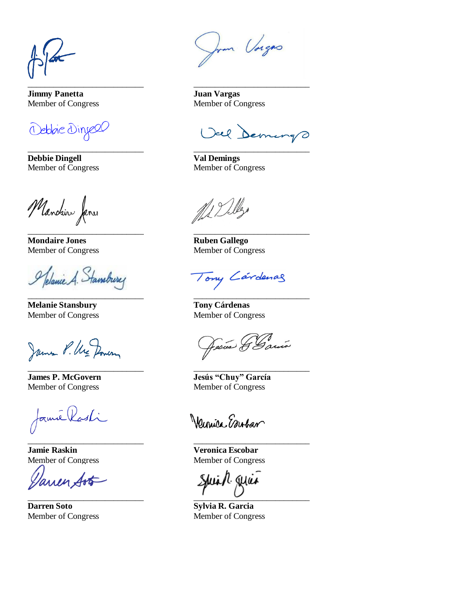\_\_\_\_\_\_\_\_\_\_\_\_\_\_\_\_\_\_\_\_\_\_\_\_\_\_\_ \_\_\_\_\_\_\_\_\_\_\_\_\_\_\_\_\_\_\_\_\_\_\_\_\_\_\_

**Jimmy Panetta Juan Vargas**

Debbie Dinyell

**Debbie Dingell Val Demings** 

Manchin Janes

**Mondaire Jones Ruben Gallego** 

Pleanie A. Stansbury

**Melanie Stansbury Tony Cárdenas**  Member of Congress Member of Congress

James P. Ure Domen

famé Kasti \_\_\_\_\_\_\_\_\_\_\_\_\_\_\_\_\_\_\_\_\_\_\_\_\_\_\_ \_\_\_\_\_\_\_\_\_\_\_\_\_\_\_\_\_\_\_\_\_\_\_\_\_\_\_

**Jamie Raskin Veronica Escobar**

arren Art

**Darren Soto Sylvia R. Garcia**

hom Vorgas

Member of Congress Member of Congress

Vel Demings \_\_\_\_\_\_\_\_\_\_\_\_\_\_\_\_\_\_\_\_\_\_\_\_\_\_\_ \_\_\_\_\_\_\_\_\_\_\_\_\_\_\_\_\_\_\_\_\_\_\_\_\_\_\_

Member of Congress Member of Congress

ML Delles

\_\_\_\_\_\_\_\_\_\_\_\_\_\_\_\_\_\_\_\_\_\_\_\_\_\_\_ \_\_\_\_\_\_\_\_\_\_\_\_\_\_\_\_\_\_\_\_\_\_\_\_\_\_\_

\_\_\_\_\_\_\_\_\_\_\_\_\_\_\_\_\_\_\_\_\_\_\_\_\_\_\_ \_\_\_\_\_\_\_\_\_\_\_\_\_\_\_\_\_\_\_\_\_\_\_\_\_\_\_

\_\_\_\_\_\_\_\_\_\_\_\_\_\_\_\_\_\_\_\_\_\_\_\_\_\_\_ \_\_\_\_\_\_\_\_\_\_\_\_\_\_\_\_\_\_\_\_\_\_\_\_\_\_\_

Member of Congress Member of Congress

Tony Cárdenas

Jesús G Garin

**James P. McGovern Jesús "Chuy" García** Member of Congress Member of Congress

Wennice Embar

Member of Congress Member of Congress

Shuidh quae \_\_\_\_\_\_\_\_\_\_\_\_\_\_\_\_\_\_\_\_\_\_\_\_\_\_\_ \_\_\_\_\_\_\_\_\_\_\_\_\_\_\_\_\_\_\_\_\_\_\_\_\_\_\_

Member of Congress Member of Congress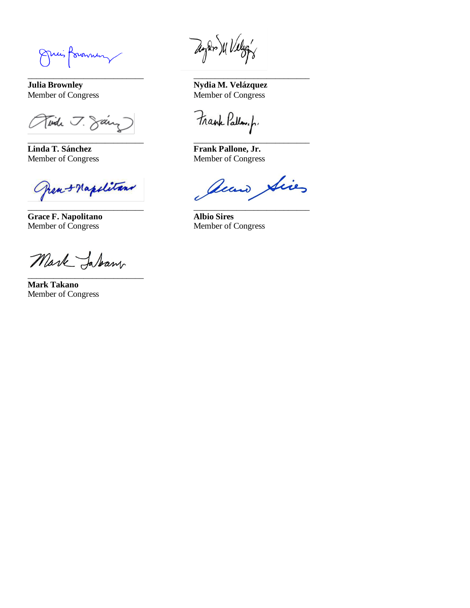nuis formmen

Tinde J. Saing

\_\_\_\_\_\_\_\_\_\_\_\_\_\_\_\_\_\_\_\_\_\_\_\_\_\_\_ \_\_\_\_\_\_\_\_\_\_\_\_\_\_\_\_\_\_\_\_\_\_\_\_\_\_\_ **Linda T. Sánchez Frank Pallone, Jr.**

frea + Napolitans  $\epsilon$ 

**Grace F. Napolitano Albio Sires**  Member of Congress Member of Congress

Mark Jaban \_\_\_\_\_\_\_\_\_\_\_\_\_\_\_\_\_\_\_\_\_\_\_\_\_\_\_

**Mark Takano**  Member of Congress

Mulan XI Velogy

\_\_\_\_\_\_\_\_\_\_\_\_\_\_\_\_\_\_\_\_\_\_\_\_\_\_\_ \_\_\_\_\_\_\_\_\_\_\_\_\_\_\_\_\_\_\_\_\_\_\_\_\_\_\_

**Julia Brownley Nydia M. Velázquez** Member of Congress Member of Congress

Frank Pallow.p.

Member of Congress Member of Congress

accus Sics \_\_\_\_\_\_\_\_\_\_\_\_\_\_\_\_\_\_\_\_\_\_\_\_\_\_\_ \_\_\_\_\_\_\_\_\_\_\_\_\_\_\_\_\_\_\_\_\_\_\_\_\_\_\_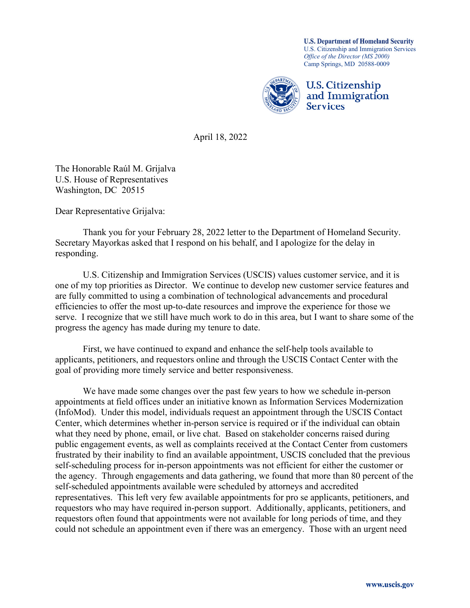**U.S. Department of Homeland Security** U.S. Citizenship and Immigration Services *Office of the Director (MS 2000)* Camp Springs, MD 20588-0009



April 18, 2022

The Honorable Raúl M. Grijalva U.S. House of Representatives Washington, DC 20515

Dear Representative Grijalva:

Thank you for your February 28, 2022 letter to the Department of Homeland Security. Secretary Mayorkas asked that I respond on his behalf, and I apologize for the delay in responding.

U.S. Citizenship and Immigration Services (USCIS) values customer service, and it is one of my top priorities as Director. We continue to develop new customer service features and are fully committed to using a combination of technological advancements and procedural efficiencies to offer the most up-to-date resources and improve the experience for those we serve. I recognize that we still have much work to do in this area, but I want to share some of the progress the agency has made during my tenure to date.

First, we have continued to expand and enhance the self-help tools available to applicants, petitioners, and requestors online and through the USCIS Contact Center with the goal of providing more timely service and better responsiveness.

We have made some changes over the past few years to how we schedule in-person appointments at field offices under an initiative known as Information Services Modernization (InfoMod). Under this model, individuals request an appointment through the USCIS Contact Center, which determines whether in-person service is required or if the individual can obtain what they need by phone, email, or live chat. Based on stakeholder concerns raised during public engagement events, as well as complaints received at the Contact Center from customers frustrated by their inability to find an available appointment, USCIS concluded that the previous self-scheduling process for in-person appointments was not efficient for either the customer or the agency. Through engagements and data gathering, we found that more than 80 percent of the self-scheduled appointments available were scheduled by attorneys and accredited representatives. This left very few available appointments for pro se applicants, petitioners, and requestors who may have required in-person support. Additionally, applicants, petitioners, and requestors often found that appointments were not available for long periods of time, and they could not schedule an appointment even if there was an emergency. Those with an urgent need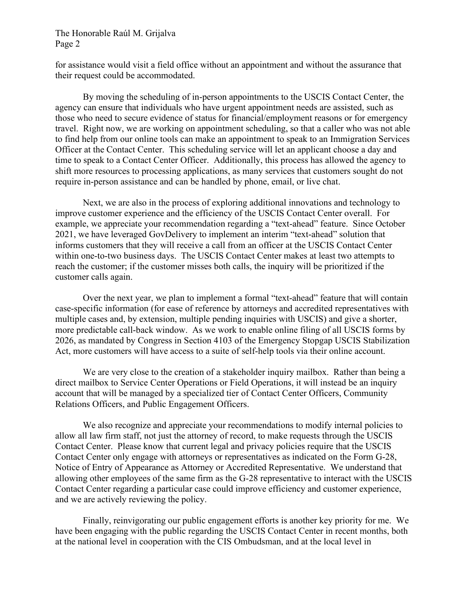## The Honorable Raúl M. Grijalva Page 2

for assistance would visit a field office without an appointment and without the assurance that their request could be accommodated.

By moving the scheduling of in-person appointments to the USCIS Contact Center, the agency can ensure that individuals who have urgent appointment needs are assisted, such as those who need to secure evidence of status for financial/employment reasons or for emergency travel. Right now, we are working on appointment scheduling, so that a caller who was not able to find help from our online tools can make an appointment to speak to an Immigration Services Officer at the Contact Center. This scheduling service will let an applicant choose a day and time to speak to a Contact Center Officer. Additionally, this process has allowed the agency to shift more resources to processing applications, as many services that customers sought do not require in-person assistance and can be handled by phone, email, or live chat.

Next, we are also in the process of exploring additional innovations and technology to improve customer experience and the efficiency of the USCIS Contact Center overall. For example, we appreciate your recommendation regarding a "text-ahead" feature. Since October 2021, we have leveraged GovDelivery to implement an interim "text-ahead" solution that informs customers that they will receive a call from an officer at the USCIS Contact Center within one-to-two business days. The USCIS Contact Center makes at least two attempts to reach the customer; if the customer misses both calls, the inquiry will be prioritized if the customer calls again.

Over the next year, we plan to implement a formal "text-ahead" feature that will contain case-specific information (for ease of reference by attorneys and accredited representatives with multiple cases and, by extension, multiple pending inquiries with USCIS) and give a shorter, more predictable call-back window. As we work to enable online filing of all USCIS forms by 2026, as mandated by Congress in Section 4103 of the Emergency Stopgap USCIS Stabilization Act, more customers will have access to a suite of self-help tools via their online account.

We are very close to the creation of a stakeholder inquiry mailbox. Rather than being a direct mailbox to Service Center Operations or Field Operations, it will instead be an inquiry account that will be managed by a specialized tier of Contact Center Officers, Community Relations Officers, and Public Engagement Officers.

We also recognize and appreciate your recommendations to modify internal policies to allow all law firm staff, not just the attorney of record, to make requests through the USCIS Contact Center. Please know that current legal and privacy policies require that the USCIS Contact Center only engage with attorneys or representatives as indicated on the Form G-28, Notice of Entry of Appearance as Attorney or Accredited Representative. We understand that allowing other employees of the same firm as the G-28 representative to interact with the USCIS Contact Center regarding a particular case could improve efficiency and customer experience, and we are actively reviewing the policy.

Finally, reinvigorating our public engagement efforts is another key priority for me. We have been engaging with the public regarding the USCIS Contact Center in recent months, both at the national level in cooperation with the CIS Ombudsman, and at the local level in